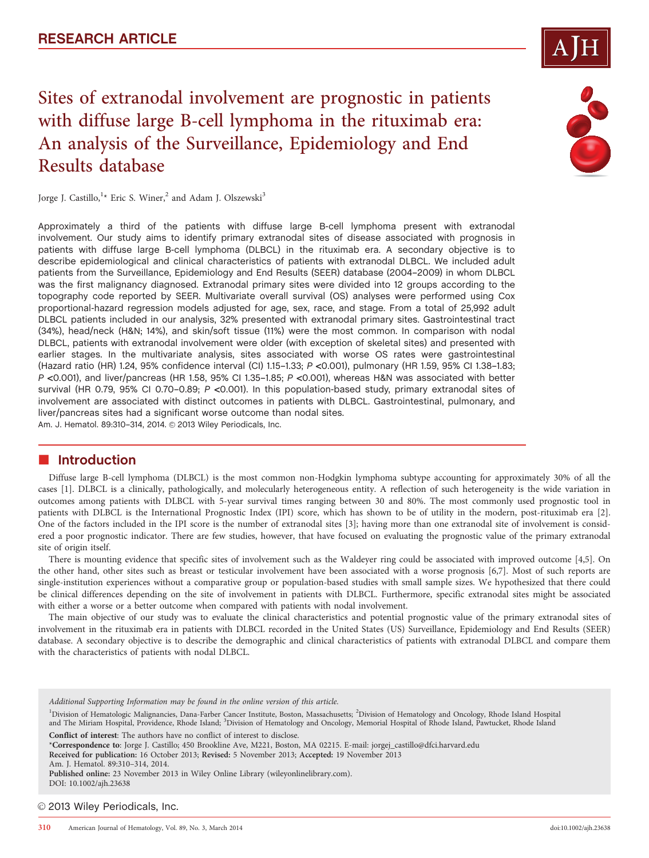# Sites of extranodal involvement are prognostic in patients with diffuse large B-cell lymphoma in the rituximab era: An analysis of the Surveillance, Epidemiology and End Results database



Jorge J. Castillo, <sup>1</sup>\* Eric S. Winer, <sup>2</sup> and Adam J. Olszewski<sup>3</sup>

Approximately a third of the patients with diffuse large B-cell lymphoma present with extranodal involvement. Our study aims to identify primary extranodal sites of disease associated with prognosis in patients with diffuse large B-cell lymphoma (DLBCL) in the rituximab era. A secondary objective is to describe epidemiological and clinical characteristics of patients with extranodal DLBCL. We included adult patients from the Surveillance, Epidemiology and End Results (SEER) database (2004–2009) in whom DLBCL was the first malignancy diagnosed. Extranodal primary sites were divided into 12 groups according to the topography code reported by SEER. Multivariate overall survival (OS) analyses were performed using Cox proportional-hazard regression models adjusted for age, sex, race, and stage. From a total of 25,992 adult DLBCL patients included in our analysis, 32% presented with extranodal primary sites. Gastrointestinal tract (34%), head/neck (H&N; 14%), and skin/soft tissue (11%) were the most common. In comparison with nodal DLBCL, patients with extranodal involvement were older (with exception of skeletal sites) and presented with earlier stages. In the multivariate analysis, sites associated with worse OS rates were gastrointestinal (Hazard ratio (HR) 1.24, 95% confidence interval (CI) 1.15–1.33; P <0.001), pulmonary (HR 1.59, 95% CI 1.38–1.83; P <0.001), and liver/pancreas (HR 1.58, 95% CI 1.35–1.85; P <0.001), whereas H&N was associated with better survival (HR 0.79, 95% CI 0.70-0.89; P <0.001). In this population-based study, primary extranodal sites of involvement are associated with distinct outcomes in patients with DLBCL. Gastrointestinal, pulmonary, and liver/pancreas sites had a significant worse outcome than nodal sites. Am. J. Hematol. 89:310-314, 2014. 2013 Wiley Periodicals, Inc.

## **n** Introduction

Diffuse large B-cell lymphoma (DLBCL) is the most common non-Hodgkin lymphoma subtype accounting for approximately 30% of all the cases [1]. DLBCL is a clinically, pathologically, and molecularly heterogeneous entity. A reflection of such heterogeneity is the wide variation in outcomes among patients with DLBCL with 5-year survival times ranging between 30 and 80%. The most commonly used prognostic tool in patients with DLBCL is the International Prognostic Index (IPI) score, which has shown to be of utility in the modern, post-rituximab era [2]. One of the factors included in the IPI score is the number of extranodal sites [3]; having more than one extranodal site of involvement is considered a poor prognostic indicator. There are few studies, however, that have focused on evaluating the prognostic value of the primary extranodal site of origin itself.

There is mounting evidence that specific sites of involvement such as the Waldeyer ring could be associated with improved outcome [4,5]. On the other hand, other sites such as breast or testicular involvement have been associated with a worse prognosis [6,7]. Most of such reports are single-institution experiences without a comparative group or population-based studies with small sample sizes. We hypothesized that there could be clinical differences depending on the site of involvement in patients with DLBCL. Furthermore, specific extranodal sites might be associated with either a worse or a better outcome when compared with patients with nodal involvement.

The main objective of our study was to evaluate the clinical characteristics and potential prognostic value of the primary extranodal sites of involvement in the rituximab era in patients with DLBCL recorded in the United States (US) Surveillance, Epidemiology and End Results (SEER) database. A secondary objective is to describe the demographic and clinical characteristics of patients with extranodal DLBCL and compare them with the characteristics of patients with nodal DLBCL.

<sup>1</sup>Division of Hematologic Malignancies, Dana-Farber Cancer Institute, Boston, Massachusetts; <sup>2</sup>Division of Hematology and Oncology, Rhode Island Hospital and The Miriam Hospital, Providence, Rhode Island; <sup>3</sup>Division of Hematology and Oncology, Memorial Hospital of Rhode Island, Pawtucket, Rhode Island Conflict of interest: The authors have no conflict of interest to disclose.

\*Correspondence to: Jorge J. Castillo; 450 Brookline Ave, M221, Boston, MA 02215. E-mail: jorgej\_castillo@dfci.harvard.edu

Received for publication: 16 October 2013; Revised: 5 November 2013; Accepted: 19 November 2013

Am. J. Hematol. 89:310–314, 2014.

Published online: 23 November 2013 in Wiley Online Library (wileyonlinelibrary.com). DOI: 10.1002/ajh.23638

© 2013 Wiley Periodicals, Inc.

Additional Supporting Information may be found in the online version of this article.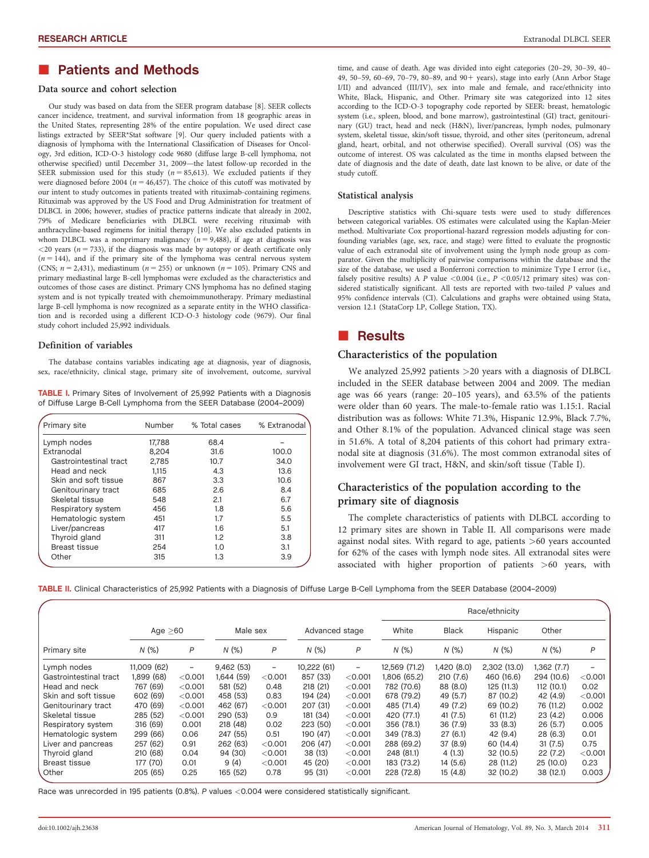# **E** Patients and Methods

### Data source and cohort selection

Our study was based on data from the SEER program database [8]. SEER collects cancer incidence, treatment, and survival information from 18 geographic areas in the United States, representing 28% of the entire population. We used direct case listings extracted by SEER\*Stat software [9]. Our query included patients with a diagnosis of lymphoma with the International Classification of Diseases for Oncology, 3rd edition, ICD-O-3 histology code 9680 (diffuse large B-cell lymphoma, not otherwise specified) until December 31, 2009—the latest follow-up recorded in the SEER submission used for this study ( $n = 85,613$ ). We excluded patients if they were diagnosed before 2004 ( $n = 46,457$ ). The choice of this cutoff was motivated by our intent to study outcomes in patients treated with rituximab-containing regimens. Rituximab was approved by the US Food and Drug Administration for treatment of DLBCL in 2006; however, studies of practice patterns indicate that already in 2002, 79% of Medicare beneficiaries with DLBCL were receiving rituximab with anthracycline-based regimens for initial therapy [10]. We also excluded patients in whom DLBCL was a nonprimary malignancy ( $n = 9,488$ ), if age at diagnosis was  $<$  20 years ( $n = 733$ ), if the diagnosis was made by autopsy or death certificate only  $(n = 144)$ , and if the primary site of the lymphoma was central nervous system (CNS;  $n = 2,431$ ), mediastinum ( $n = 255$ ) or unknown ( $n = 105$ ). Primary CNS and primary mediastinal large B-cell lymphomas were excluded as the characteristics and outcomes of those cases are distinct. Primary CNS lymphoma has no defined staging system and is not typically treated with chemoimmunotherapy. Primary mediastinal large B-cell lymphoma is now recognized as a separate entity in the WHO classification and is recorded using a different ICD-O-3 histology code (9679). Our final study cohort included 25,992 individuals.

#### Definition of variables

The database contains variables indicating age at diagnosis, year of diagnosis, sex, race/ethnicity, clinical stage, primary site of involvement, outcome, survival

TABLE I. Primary Sites of Involvement of 25,992 Patients with a Diagnosis of Diffuse Large B-Cell Lymphoma from the SEER Database (2004–2009)

| Primary site           | Number | % Total cases | % Extranodal |
|------------------------|--------|---------------|--------------|
| Lymph nodes            | 17.788 | 68.4          |              |
| Extranodal             | 8,204  | 31.6          | 100.0        |
| Gastrointestinal tract | 2.785  | 10.7          | 34.0         |
| Head and neck          | 1.115  | 4.3           | 13.6         |
| Skin and soft tissue   | 867    | 3.3           | 10.6         |
| Genitourinary tract    | 685    | 2.6           | 8.4          |
| Skeletal tissue        | 548    | 2.1           | 6.7          |
| Respiratory system     | 456    | 1.8           | 5.6          |
| Hematologic system     | 451    | 1.7           | 5.5          |
| Liver/pancreas         | 417    | 1.6           | 5.1          |
| Thyroid gland          | 311    | 1.2           | 3.8          |
| <b>Breast tissue</b>   | 254    | 1.0           | 3.1          |
| Other                  | 315    | 1.3           | 3.9          |

time, and cause of death. Age was divided into eight categories (20–29, 30–39, 40– 49, 50–59, 60–69, 70–79, 80–89, and 90+ years), stage into early (Ann Arbor Stage I/II) and advanced (III/IV), sex into male and female, and race/ethnicity into White, Black, Hispanic, and Other. Primary site was categorized into 12 sites according to the ICD-O-3 topography code reported by SEER: breast, hematologic system (i.e., spleen, blood, and bone marrow), gastrointestinal (GI) tract, genitourinary (GU) tract, head and neck (H&N), liver/pancreas, lymph nodes, pulmonary system, skeletal tissue, skin/soft tissue, thyroid, and other sites (peritoneum, adrenal gland, heart, orbital, and not otherwise specified). Overall survival (OS) was the outcome of interest. OS was calculated as the time in months elapsed between the date of diagnosis and the date of death, date last known to be alive, or date of the study cutoff.

#### Statistical analysis

Descriptive statistics with Chi-square tests were used to study differences between categorical variables. OS estimates were calculated using the Kaplan-Meier method. Multivariate Cox proportional-hazard regression models adjusting for confounding variables (age, sex, race, and stage) were fitted to evaluate the prognostic value of each extranodal site of involvement using the lymph node group as comparator. Given the multiplicity of pairwise comparisons within the database and the size of the database, we used a Bonferroni correction to minimize Type I error (i.e., falsely positive results) A P value <0.004 (i.e.,  $P$  <0.05/12 primary sites) was considered statistically significant. All tests are reported with two-tailed P values and 95% confidence intervals (CI). Calculations and graphs were obtained using Stata, version 12.1 (StataCorp LP, College Station, TX).

## **Results**

### Characteristics of the population

We analyzed 25,992 patients >20 years with a diagnosis of DLBCL included in the SEER database between 2004 and 2009. The median age was 66 years (range: 20–105 years), and 63.5% of the patients were older than 60 years. The male-to-female ratio was 1.15:1. Racial distribution was as follows: White 71.3%, Hispanic 12.9%, Black 7.7%, and Other 8.1% of the population. Advanced clinical stage was seen in 51.6%. A total of 8,204 patients of this cohort had primary extranodal site at diagnosis (31.6%). The most common extranodal sites of involvement were GI tract, H&N, and skin/soft tissue (Table I).

### Characteristics of the population according to the primary site of diagnosis

The complete characteristics of patients with DLBCL according to 12 primary sites are shown in Table II. All comparisons were made against nodal sites. With regard to age, patients >60 years accounted for 62% of the cases with lymph node sites. All extranodal sites were associated with higher proportion of patients >60 years, with

TABLE II. Clinical Characteristics of 25,992 Patients with a Diagnosis of Diffuse Large B-Cell Lymphoma from the SEER Database (2004–2009)

|                        |               |         |            |                          |                |         | Race/ethnicity |              |              |            |           |
|------------------------|---------------|---------|------------|--------------------------|----------------|---------|----------------|--------------|--------------|------------|-----------|
|                        | Age $\geq 60$ |         | Male sex   |                          | Advanced stage |         | White          | <b>Black</b> | Hispanic     | Other      |           |
| Primary site           | N(%           | P       | N(%        | P                        | N(%            | P       | N(%            | N(%          | N(%          | N(%        | P         |
| Lymph nodes            | 11,009 (62)   |         | 9,462(53)  | $\overline{\phantom{a}}$ | 10,222 (61)    | -       | 12,569 (71.2)  | 1,420 (8.0)  | 2,302 (13.0) | 1,362(7.7) |           |
| Gastrointestinal tract | 1,899 (68)    | < 0.001 | 1,644 (59) | < 0.001                  | 857 (33)       | < 0.001 | 1,806 (65.2)   | 210(7.6)     | 460 (16.6)   | 294 (10.6) | $<$ 0.001 |
| Head and neck          | 767 (69)      | < 0.001 | 581 (52)   | 0.48                     | 218(21)        | < 0.001 | 782 (70.6)     | 88 (8.0)     | 125 (11.3)   | 112 (10.1) | 0.02      |
| Skin and soft tissue   | 602 (69)      | < 0.001 | 458 (53)   | 0.83                     | 194 (24)       | < 0.001 | 678 (79.2)     | 49 (5.7)     | 87 (10.2)    | 42 (4.9)   | < 0.001   |
| Genitourinary tract    | 470 (69)      | < 0.001 | 462 (67)   | < 0.001                  | 207 (31)       | < 0.001 | 485 (71.4)     | 49 (7.2)     | 69 (10.2)    | 76 (11.2)  | 0.002     |
| Skeletal tissue        | 285 (52)      | < 0.001 | 290 (53)   | 0.9                      | 181 (34)       | < 0.001 | 420 (77.1)     | 41(7.5)      | 61(11.2)     | 23(4.2)    | 0.006     |
| Respiratory system     | 316 (69)      | 0.001   | 218 (48)   | 0.02                     | 223 (50)       | < 0.001 | 356 (78.1)     | 36(7.9)      | 33(8.3)      | 26(5.7)    | 0.005     |
| Hematologic system     | 299 (66)      | 0.06    | 247 (55)   | 0.51                     | 190 (47)       | < 0.001 | 349 (78.3)     | 27(6.1)      | 42 (9.4)     | 28(6.3)    | 0.01      |
| Liver and pancreas     | 257 (62)      | 0.91    | 262 (63)   | < 0.001                  | 206 (47)       | < 0.001 | 288 (69.2)     | 37 (8.9)     | 60 (14.4)    | 31(7.5)    | 0.75      |
| Thyroid gland          | 210(68)       | 0.04    | 94 (30)    | < 0.001                  | 38 (13)        | < 0.001 | 248 (81.1)     | 4(1.3)       | 32(10.5)     | 22(7.2)    | < 0.001   |
| <b>Breast tissue</b>   | 177 (70)      | 0.01    | 9(4)       | < 0.001                  | 45 (20)        | < 0.001 | 183 (73.2)     | 14(5.6)      | 28 (11.2)    | 25(10.0)   | 0.23      |
| Other                  | 205(65)       | 0.25    | 165 (52)   | 0.78                     | 95 (31)        | < 0.001 | 228 (72.8)     | 15(4.8)      | 32 (10.2)    | 38(12.1)   | 0.003     |

Race was unrecorded in 195 patients (0.8%). P values <0.004 were considered statistically significant.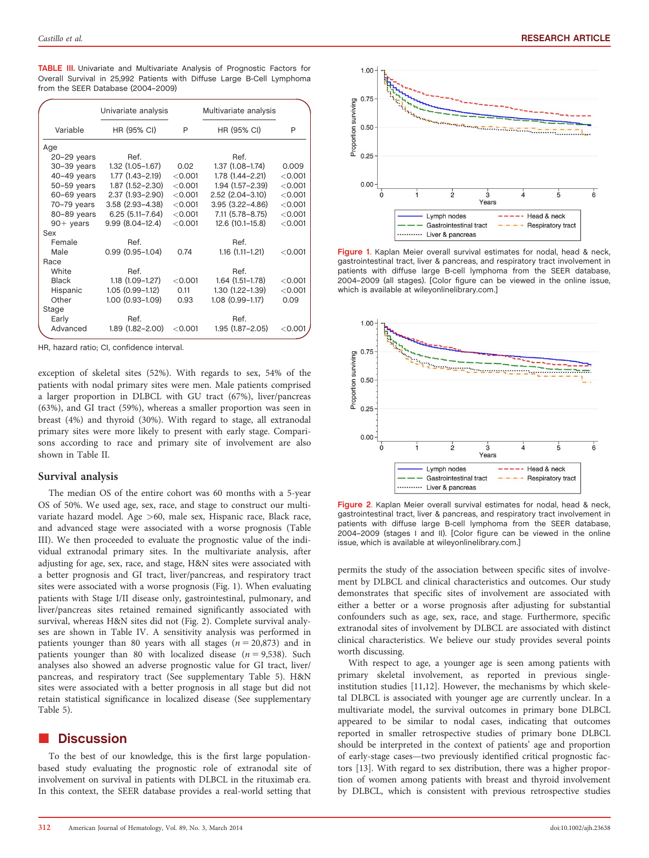TABLE III. Univariate and Multivariate Analysis of Prognostic Factors for Overall Survival in 25,992 Patients with Diffuse Large B-Cell Lymphoma from the SEER Database (2004–2009)

|               | Univariate analysis |           | Multivariate analysis  |           |
|---------------|---------------------|-----------|------------------------|-----------|
| Variable      | HR (95% CI)         | P         | HR (95% CI)            | P         |
| Age           |                     |           |                        |           |
| $20-29$ years | Ref.                |           | Ref.                   |           |
| 30-39 years   | $1.32(1.05 - 1.67)$ | 0.02      | $1.37(1.08-1.74)$      | 0.009     |
| $40-49$ years | 1.77 (1.43–2.19)    | < 0.001   | 1.78 (1.44–2.21)       | < 0.001   |
| 50-59 years   | $1.87(1.52 - 2.30)$ | < 0.001   | 1.94 (1.57-2.39)       | < 0.001   |
| $60-69$ years | 2.37 (1.93-2.90)    | < 0.001   | 2.52 (2.04-3.10)       | < 0.001   |
| $70-79$ years | $3.58(2.93 - 4.38)$ | < 0.001   | $3.95(3.22 - 4.86)$    | < 0.001   |
| 80-89 years   | $6.25(5.11 - 7.64)$ | < 0.001   | 7.11 (5.78-8.75)       | < 0.001   |
| $90+$ years   | $9.99(8.04-12.4)$   | < 0.001   | $12.6(10.1-15.8)$      | < 0.001   |
| Sex           |                     |           |                        |           |
| Female        | Ref.                |           | Ref.                   |           |
| Male          | $0.99(0.95 - 1.04)$ | 0.74      | $1.16$ $(1.11 - 1.21)$ | < 0.001   |
| Race          |                     |           |                        |           |
| White         | Ref.                |           | Ref.                   |           |
| <b>Black</b>  | 1.18 (1.09-1.27)    | < 0.001   | $1.64$ $(1.51 - 1.78)$ | < 0.001   |
| Hispanic      | $1.05(0.99-1.12)$   | 0.11      | 1.30 (1.22-1.39)       | < 0.001   |
| Other         | 1.00 (0.93-1.09)    | 0.93      | $1.08(0.99 - 1.17)$    | 0.09      |
| Stage         |                     |           |                        |           |
| Early         | Ref.                |           | Ref.                   |           |
| Advanced      | 1.89 (1.82-2.00)    | $<$ 0.001 | 1.95 (1.87-2.05)       | $<$ 0.001 |

HR, hazard ratio; CI, confidence interval.

exception of skeletal sites (52%). With regards to sex, 54% of the patients with nodal primary sites were men. Male patients comprised a larger proportion in DLBCL with GU tract (67%), liver/pancreas (63%), and GI tract (59%), whereas a smaller proportion was seen in breast (4%) and thyroid (30%). With regard to stage, all extranodal primary sites were more likely to present with early stage. Comparisons according to race and primary site of involvement are also shown in Table II.

### Survival analysis

The median OS of the entire cohort was 60 months with a 5-year OS of 50%. We used age, sex, race, and stage to construct our multivariate hazard model. Age >60, male sex, Hispanic race, Black race, and advanced stage were associated with a worse prognosis (Table III). We then proceeded to evaluate the prognostic value of the individual extranodal primary sites. In the multivariate analysis, after adjusting for age, sex, race, and stage, H&N sites were associated with a better prognosis and GI tract, liver/pancreas, and respiratory tract sites were associated with a worse prognosis (Fig. 1). When evaluating patients with Stage I/II disease only, gastrointestinal, pulmonary, and liver/pancreas sites retained remained significantly associated with survival, whereas H&N sites did not (Fig. 2). Complete survival analyses are shown in Table IV. A sensitivity analysis was performed in patients younger than 80 years with all stages  $(n = 20,873)$  and in patients younger than 80 with localized disease  $(n = 9,538)$ . Such analyses also showed an adverse prognostic value for GI tract, liver/ pancreas, and respiratory tract (See supplementary Table 5). H&N sites were associated with a better prognosis in all stage but did not retain statistical significance in localized disease (See supplementary Table 5).

## **Discussion**

To the best of our knowledge, this is the first large populationbased study evaluating the prognostic role of extranodal site of involvement on survival in patients with DLBCL in the rituximab era. In this context, the SEER database provides a real-world setting that



Figure 1. Kaplan Meier overall survival estimates for nodal, head & neck, gastrointestinal tract, liver & pancreas, and respiratory tract involvement in patients with diffuse large B-cell lymphoma from the SEER database, 2004–2009 (all stages). [Color figure can be viewed in the online issue, which is available at [wileyonlinelibrary.com.\]](http://wileyonlinelibrary.com)



Figure 2. Kaplan Meier overall survival estimates for nodal, head & neck, gastrointestinal tract, liver & pancreas, and respiratory tract involvement in patients with diffuse large B-cell lymphoma from the SEER database, 2004–2009 (stages I and II). [Color figure can be viewed in the online issue, which is available at [wileyonlinelibrary.com.\]](http://wileyonlinelibrary.com)

permits the study of the association between specific sites of involvement by DLBCL and clinical characteristics and outcomes. Our study demonstrates that specific sites of involvement are associated with either a better or a worse prognosis after adjusting for substantial confounders such as age, sex, race, and stage. Furthermore, specific extranodal sites of involvement by DLBCL are associated with distinct clinical characteristics. We believe our study provides several points worth discussing.

With respect to age, a younger age is seen among patients with primary skeletal involvement, as reported in previous singleinstitution studies [11,12]. However, the mechanisms by which skeletal DLBCL is associated with younger age are currently unclear. In a multivariate model, the survival outcomes in primary bone DLBCL appeared to be similar to nodal cases, indicating that outcomes reported in smaller retrospective studies of primary bone DLBCL should be interpreted in the context of patients' age and proportion of early-stage cases—two previously identified critical prognostic factors [13]. With regard to sex distribution, there was a higher proportion of women among patients with breast and thyroid involvement by DLBCL, which is consistent with previous retrospective studies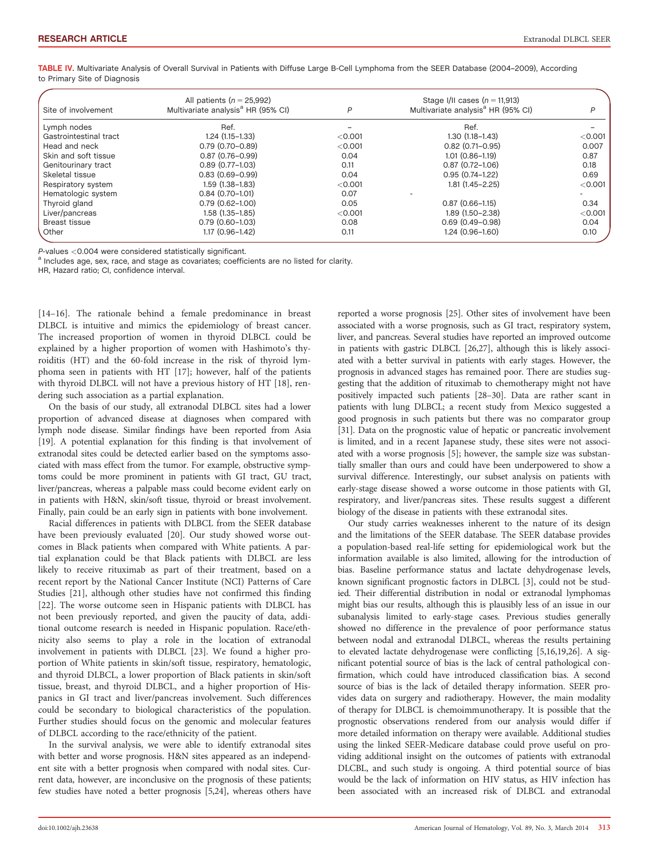TABLE IV. Multivariate Analysis of Overall Survival in Patients with Diffuse Large B-Cell Lymphoma from the SEER Database (2004-2009), According to Primary Site of Diagnosis

| Site of involvement    | All patients ( $n = 25,992$ )<br>Multivariate analysis <sup>a</sup> HR (95% CI) | P       | Stage I/II cases $(n = 11,913)$<br>Multivariate analysis <sup>a</sup> HR (95% CI) | D       |
|------------------------|---------------------------------------------------------------------------------|---------|-----------------------------------------------------------------------------------|---------|
| Lymph nodes            | Ref.                                                                            |         | Ref.                                                                              |         |
| Gastrointestinal tract | $1.24(1.15-1.33)$                                                               | < 0.001 | $1.30(1.18 - 1.43)$                                                               | < 0.001 |
| Head and neck          | $0.79(0.70 - 0.89)$                                                             | < 0.001 | $0.82$ (0.71-0.95)                                                                | 0.007   |
| Skin and soft tissue   | $0.87(0.76 - 0.99)$                                                             | 0.04    | $1.01(0.86 - 1.19)$                                                               | 0.87    |
| Genitourinary tract    | $0.89(0.77 - 1.03)$                                                             | 0.11    | $0.87(0.72 - 1.06)$                                                               | 0.18    |
| Skeletal tissue        | $0.83(0.69 - 0.99)$                                                             | 0.04    | $0.95(0.74 - 1.22)$                                                               | 0.69    |
| Respiratory system     | $1.59(1.38 - 1.83)$                                                             | < 0.001 | $1.81(1.45 - 2.25)$                                                               | < 0.001 |
| Hematologic system     | $0.84(0.70 - 1.01)$                                                             | 0.07    |                                                                                   |         |
| Thyroid gland          | $0.79(0.62 - 1.00)$                                                             | 0.05    | $0.87(0.66 - 1.15)$                                                               | 0.34    |
| Liver/pancreas         | $1.58(1.35-1.85)$                                                               | < 0.001 | 1.89 (1.50-2.38)                                                                  | < 0.001 |
| Breast tissue          | $0.79(0.60 - 1.03)$                                                             | 0.08    | $0.69(0.49 - 0.98)$                                                               | 0.04    |
| Other                  | $1.17(0.96 - 1.42)$                                                             | 0.11    | $1.24(0.96 - 1.60)$                                                               | 0.10    |

P-values <0.004 were considered statistically significant.<br><sup>a</sup> Includes age, sex, race, and stage as covariates; coefficients are no listed for clarity.

HR, Hazard ratio; CI, confidence interval.

[14–16]. The rationale behind a female predominance in breast DLBCL is intuitive and mimics the epidemiology of breast cancer. The increased proportion of women in thyroid DLBCL could be explained by a higher proportion of women with Hashimoto's thyroiditis (HT) and the 60-fold increase in the risk of thyroid lymphoma seen in patients with HT [17]; however, half of the patients with thyroid DLBCL will not have a previous history of HT [18], rendering such association as a partial explanation.

On the basis of our study, all extranodal DLBCL sites had a lower proportion of advanced disease at diagnoses when compared with lymph node disease. Similar findings have been reported from Asia [19]. A potential explanation for this finding is that involvement of extranodal sites could be detected earlier based on the symptoms associated with mass effect from the tumor. For example, obstructive symptoms could be more prominent in patients with GI tract, GU tract, liver/pancreas, whereas a palpable mass could become evident early on in patients with H&N, skin/soft tissue, thyroid or breast involvement. Finally, pain could be an early sign in patients with bone involvement.

Racial differences in patients with DLBCL from the SEER database have been previously evaluated [20]. Our study showed worse outcomes in Black patients when compared with White patients. A partial explanation could be that Black patients with DLBCL are less likely to receive rituximab as part of their treatment, based on a recent report by the National Cancer Institute (NCI) Patterns of Care Studies [21], although other studies have not confirmed this finding [22]. The worse outcome seen in Hispanic patients with DLBCL has not been previously reported, and given the paucity of data, additional outcome research is needed in Hispanic population. Race/ethnicity also seems to play a role in the location of extranodal involvement in patients with DLBCL [23]. We found a higher proportion of White patients in skin/soft tissue, respiratory, hematologic, and thyroid DLBCL, a lower proportion of Black patients in skin/soft tissue, breast, and thyroid DLBCL, and a higher proportion of Hispanics in GI tract and liver/pancreas involvement. Such differences could be secondary to biological characteristics of the population. Further studies should focus on the genomic and molecular features of DLBCL according to the race/ethnicity of the patient.

In the survival analysis, we were able to identify extranodal sites with better and worse prognosis. H&N sites appeared as an independent site with a better prognosis when compared with nodal sites. Current data, however, are inconclusive on the prognosis of these patients; few studies have noted a better prognosis [5,24], whereas others have reported a worse prognosis [25]. Other sites of involvement have been associated with a worse prognosis, such as GI tract, respiratory system, liver, and pancreas. Several studies have reported an improved outcome in patients with gastric DLBCL [26,27], although this is likely associated with a better survival in patients with early stages. However, the prognosis in advanced stages has remained poor. There are studies suggesting that the addition of rituximab to chemotherapy might not have positively impacted such patients [28–30]. Data are rather scant in patients with lung DLBCL; a recent study from Mexico suggested a good prognosis in such patients but there was no comparator group [31]. Data on the prognostic value of hepatic or pancreatic involvement is limited, and in a recent Japanese study, these sites were not associated with a worse prognosis [5]; however, the sample size was substantially smaller than ours and could have been underpowered to show a survival difference. Interestingly, our subset analysis on patients with early-stage disease showed a worse outcome in those patients with GI, respiratory, and liver/pancreas sites. These results suggest a different biology of the disease in patients with these extranodal sites.

Our study carries weaknesses inherent to the nature of its design and the limitations of the SEER database. The SEER database provides a population-based real-life setting for epidemiological work but the information available is also limited, allowing for the introduction of bias. Baseline performance status and lactate dehydrogenase levels, known significant prognostic factors in DLBCL [3], could not be studied. Their differential distribution in nodal or extranodal lymphomas might bias our results, although this is plausibly less of an issue in our subanalysis limited to early-stage cases. Previous studies generally showed no difference in the prevalence of poor performance status between nodal and extranodal DLBCL, whereas the results pertaining to elevated lactate dehydrogenase were conflicting [5,16,19,26]. A significant potential source of bias is the lack of central pathological confirmation, which could have introduced classification bias. A second source of bias is the lack of detailed therapy information. SEER provides data on surgery and radiotherapy. However, the main modality of therapy for DLBCL is chemoimmunotherapy. It is possible that the prognostic observations rendered from our analysis would differ if more detailed information on therapy were available. Additional studies using the linked SEER-Medicare database could prove useful on providing additional insight on the outcomes of patients with extranodal DLCBL, and such study is ongoing. A third potential source of bias would be the lack of information on HIV status, as HIV infection has been associated with an increased risk of DLBCL and extranodal